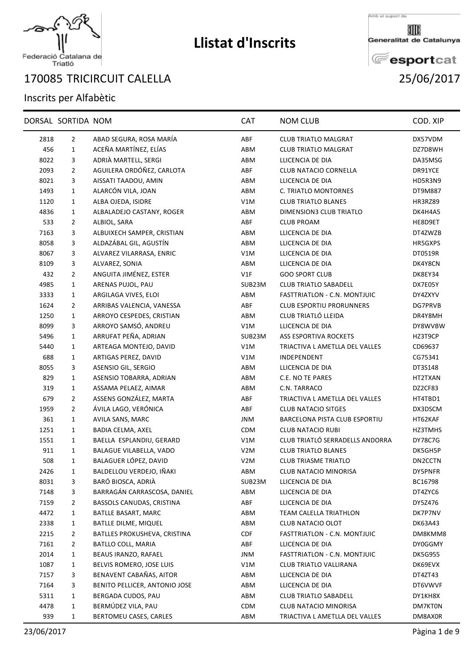

## Federació Catalana de<br>Triatló

## TRICIRCUIT CALELLA 25/06/2017

## Inscrits per Alfabètic

|      | DORSAL SORTIDA NOM |                               | <b>CAT</b>       | <b>NOM CLUB</b>                     | COD. XIP       |
|------|--------------------|-------------------------------|------------------|-------------------------------------|----------------|
| 2818 | $\overline{2}$     | ABAD SEGURA, ROSA MARÍA       | ABF              | <b>CLUB TRIATLO MALGRAT</b>         | DX57VDM        |
| 456  | $\mathbf{1}$       | ACEÑA MARTÍNEZ, ELÍAS         | ABM              | <b>CLUB TRIATLO MALGRAT</b>         | DZ7D8WH        |
| 8022 | 3                  | ADRIÀ MARTELL, SERGI          | ABM              | LLICENCIA DE DIA                    | DA35MSG        |
| 2093 | $\overline{2}$     | AGUILERA ORDÓÑEZ, CARLOTA     | ABF              | CLUB NATACIO CORNELLA               | DR91YCE        |
| 8021 | 3                  | AISSATI TAADOU, AMIN          | ABM              | LLICENCIA DE DIA                    | HD5R3N9        |
| 1493 | $\mathbf{1}$       | ALARCÓN VILA, JOAN            | ABM              | C. TRIATLO MONTORNES                | DT9M887        |
| 1120 | 1                  | ALBA OJEDA, ISIDRE            | V1M              | <b>CLUB TRIATLO BLANES</b>          | HR3RZ89        |
| 4836 | 1                  | ALBALADEJO CASTANY, ROGER     | ABM              | DIMENSION3 CLUB TRIATLO             | DK4H4A5        |
| 533  | $\overline{2}$     | ALBIOL, SARA                  | ABF              | <b>CLUB PROAM</b>                   | HE8D9ET        |
| 7163 | 3                  | ALBUIXECH SAMPER, CRISTIAN    | ABM              | LLICENCIA DE DIA                    | DT4ZWZB        |
| 8058 | 3                  | ALDAZÁBAL GIL, AGUSTÍN        | ABM              | LLICENCIA DE DIA                    | HR5GXPS        |
| 8067 | 3                  | ALVAREZ VILARRASA, ENRIC      | V1M              | LLICENCIA DE DIA                    | DT0519R        |
| 8109 | 3                  | ALVAREZ, SONIA                | ABM              | LLICENCIA DE DIA                    | DK4Y8CN        |
| 432  | $\overline{2}$     | ANGUITA JIMÉNEZ, ESTER        | V1F              | <b>GOO SPORT CLUB</b>               | DK8EY34        |
| 4985 | $\mathbf{1}$       | ARENAS PUJOL, PAU             | SUB23M           | <b>CLUB TRIATLO SABADELL</b>        | DX7E05Y        |
| 3333 | $\mathbf{1}$       | ARGILAGA VIVES, ELOI          | ABM              | FASTTRIATLON - C.N. MONTJUIC        | DY4ZXYV        |
| 1624 | $\overline{2}$     | ARRIBAS VALENCIA, VANESSA     | ABF              | <b>CLUB ESPORTIU PRORUNNERS</b>     | DG7PRVB        |
| 1250 | $\mathbf{1}$       | ARROYO CESPEDES, CRISTIAN     | ABM              | CLUB TRIATLÓ LLEIDA                 | DR4Y8MH        |
| 8099 | 3                  | ARROYO SAMSÓ, ANDREU          | V1M              | LLICENCIA DE DIA                    | DY8WVBW        |
| 5496 | $\mathbf{1}$       | ARRUFAT PEÑA, ADRIAN          | SUB23M           | ASS ESPORTIVA ROCKETS               | HZ3T9CP        |
| 5440 | $\mathbf{1}$       | ARTEAGA MONTEJO, DAVID        | V1M              | TRIACTIVA L AMETLLA DEL VALLES      | CD69637        |
| 688  | $\mathbf{1}$       | ARTIGAS PEREZ, DAVID          | V1M              | INDEPENDENT                         | CG75341        |
| 8055 | 3                  | ASENSIO GIL, SERGIO           | ABM              | LLICENCIA DE DIA                    | DT3S148        |
| 829  | $\mathbf{1}$       | ASENSIO TOBARRA, ADRIAN       | ABM              | C.E. NO TE PARES                    | HT2TXAN        |
| 319  | $\mathbf{1}$       | ASSAMA PELAEZ, AIMAR          | ABM              | C.N. TARRACO                        | DZ2CF83        |
| 679  | 2                  | ASSENS GONZÁLEZ, MARTA        | ABF              | TRIACTIVA L AMETLLA DEL VALLES      | HT4TBD1        |
| 1959 | $\overline{2}$     | ÁVILA LAGO, VERÓNICA          | ABF              | <b>CLUB NATACIO SITGES</b>          | DX3DSCM        |
| 361  | $\mathbf{1}$       | AVILA SANS, MARC              | <b>JNM</b>       | BARCELONA PISTA CLUB ESPORTIU       | HT62KAF        |
| 1251 | $\mathbf{1}$       | BADIA CELMA, AXEL             | <b>CDM</b>       | <b>CLUB NATACIO RUBI</b>            | HZ3TMHS        |
| 1551 | 1                  | BAELLA ESPLANDIU, GERARD      | V1M              | CLUB TRIATLÓ SERRADELLS ANDORRA     | <b>DY78C7G</b> |
| 911  | 1                  | BALAGUE VILABELLA, VADO       | V <sub>2</sub> M | <b>CLUB TRIATLO BLANES</b>          | DK5GH5P        |
| 508  | 1                  | BALAGUER LÓPEZ, DAVID         | V <sub>2</sub> M | <b>CLUB TRIASME TRIATLO</b>         | DN2CCTN        |
| 2426 | 1                  | BALDELLOU VERDEJO, IÑAKI      | ABM              | CLUB NATACIO MINORISA               | DY5PNFR        |
| 8031 | 3                  | BARÓ BIOSCA, ADRIÀ            | SUB23M           | LLICENCIA DE DIA                    | BC16798        |
| 7148 | 3                  | BARRAGÁN CARRASCOSA, DANIEL   | ABM              | LLICENCIA DE DIA                    | DT4ZYC6        |
| 7159 | 2                  | BASSOLS CANUDAS, CRISTINA     | ABF              | LLICENCIA DE DIA                    | DY5Z476        |
| 4472 | 1                  | BATLLE BASART, MARC           | ABM              | TEAM CALELLA TRIATHLON              | DK7P7NV        |
| 2338 | 1                  | <b>BATLLE DILME, MIQUEL</b>   | ABM              | <b>CLUB NATACIO OLOT</b>            | <b>DK63A43</b> |
| 2215 | 2                  | BATLLES PROKUSHEVA, CRISTINA  | <b>CDF</b>       | <b>FASTTRIATLON - C.N. MONTJUIC</b> | DM8KMM8        |
| 7161 | 2                  | BATLLO COLL, MARIA            | ABF              | LLICENCIA DE DIA                    | DY0GGMY        |
| 2014 | 1                  | BEAUS IRANZO, RAFAEL          | <b>JNM</b>       | FASTTRIATLON - C.N. MONTJUIC        | <b>DK5G955</b> |
| 1087 | 1                  | BELVIS ROMERO, JOSE LUIS      | V1M              | CLUB TRIATLO VALLIRANA              | DK69EVX        |
| 7157 | 3                  | BENAVENT CABAÑAS, AITOR       | ABM              | LLICENCIA DE DIA                    | DT4ZT43        |
| 7164 | 3                  | BENITO PELLICER, ANTONIO JOSE | ABM              | LLICENCIA DE DIA                    | DT6VWVF        |
| 5311 | 1                  | BERGADA CUDOS, PAU            | ABM              | <b>CLUB TRIATLO SABADELL</b>        | DY1KH8X        |
| 4478 | $\mathbf{1}$       | BERMÚDEZ VILA, PAU            | <b>CDM</b>       | CLUB NATACIO MINORISA               | DM7KT0N        |
| 939  | 1                  | BERTOMEU CASES, CARLES        | ABM              | TRIACTIVA L AMETLLA DEL VALLES      | DM8AX0R        |





⅏ Generalitat de Catalunya

**E**esportcat

**Llistat d'Inscrits**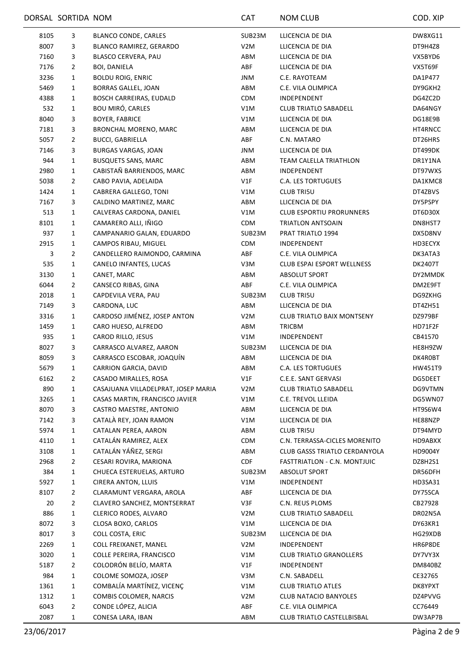|      | DORSAL SORTIDA NOM |                                     | <b>CAT</b>       | NOM CLUB                             | COD. XIP |
|------|--------------------|-------------------------------------|------------------|--------------------------------------|----------|
| 8105 | 3                  | BLANCO CONDE, CARLES                | SUB23M           | LLICENCIA DE DIA                     | DW8XG11  |
| 8007 | 3                  | BLANCO RAMIREZ, GERARDO             | V <sub>2</sub> M | LLICENCIA DE DIA                     | DT9H4Z8  |
| 7160 | 3                  | BLASCO CERVERA, PAU                 | ABM              | LLICENCIA DE DIA                     | VX5BYD6  |
| 7176 | 2                  | <b>BOI, DANIELA</b>                 | ABF              | LLICENCIA DE DIA                     | VX5T69F  |
| 3236 | 1                  | <b>BOLDU ROIG, ENRIC</b>            | JNM              | C.E. RAYOTEAM                        | DA1P477  |
| 5469 | $\mathbf{1}$       | BORRAS GALLEL, JOAN                 | ABM              | C.E. VILA OLIMPICA                   | DY9GKH2  |
| 4388 | 1                  | <b>BOSCH CARREIRAS, EUDALD</b>      | <b>CDM</b>       | INDEPENDENT                          | DG4ZC2D  |
| 532  | $\mathbf{1}$       | BOU MIRÓ, CARLES                    | V1M              | <b>CLUB TRIATLO SABADELL</b>         | DA64NGY  |
| 8040 | 3                  | <b>BOYER, FABRICE</b>               | V1M              | LLICENCIA DE DIA                     | DG18E9B  |
| 7181 | 3                  | <b>BRONCHAL MORENO, MARC</b>        | ABM              | LLICENCIA DE DIA                     | HT4RNCC  |
| 5057 | $\overline{2}$     | <b>BUCCI, GABRIELLA</b>             | ABF              | C.N. MATARO                          | DT26HRS  |
| 7146 | 3                  | <b>BURGAS VARGAS, JOAN</b>          | JNM              | LLICENCIA DE DIA                     | DT499DK  |
| 944  | $\mathbf{1}$       | <b>BUSQUETS SANS, MARC</b>          | ABM              | TEAM CALELLA TRIATHLON               | DR1Y1NA  |
| 2980 | $\mathbf{1}$       | CABISTAÑ BARRIENDOS, MARC           | ABM              | INDEPENDENT                          | DT97WXS  |
| 5038 | $\overline{2}$     | CABO PAVIA, ADELAIDA                | V1F              | <b>C.A. LES TORTUGUES</b>            | DA1KMC8  |
| 1424 | $\mathbf{1}$       | CABRERA GALLEGO, TONI               | V1M              | <b>CLUB TRI5U</b>                    | DT4ZBVS  |
| 7167 | 3                  | CALDINO MARTINEZ, MARC              | ABM              | LLICENCIA DE DIA                     | DY5PSPY  |
| 513  | $\mathbf{1}$       | CALVERAS CARDONA, DANIEL            | V1M              | <b>CLUB ESPORTIU PRORUNNERS</b>      | DT6D30X  |
| 8101 | $\mathbf{1}$       | CAMARERO ALLI, IÑIGO                | <b>CDM</b>       | TRIATLON ANTSOAIN                    | DN8HST7  |
| 937  | 1                  | CAMPANARIO GALAN, EDUARDO           | SUB23M           | PRAT TRIATLO 1994                    | DX5D8NV  |
| 2915 | $\mathbf{1}$       | CAMPOS RIBAU, MIGUEL                | <b>CDM</b>       | INDEPENDENT                          | HD3ECYX  |
| 3    | $\overline{2}$     | CANDELLERO RAIMONDO, CARMINA        | ABF              | C.E. VILA OLIMPICA                   | DK3ATA3  |
| 535  | 1                  | CANELO INFANTES, LUCAS              | V3M              | <b>CLUB ESPAI ESPORT WELLNESS</b>    | DK2407T  |
| 3130 | $\mathbf{1}$       | CANET, MARC                         | ABM              | <b>ABSOLUT SPORT</b>                 | DY2MMDK  |
| 6044 | $\overline{2}$     | CANSECO RIBAS, GINA                 | ABF              | C.E. VILA OLIMPICA                   | DM2E9FT  |
| 2018 | $\mathbf{1}$       | CAPDEVILA VERA, PAU                 | SUB23M           | <b>CLUB TRI5U</b>                    | DG9ZKHG  |
| 7149 | 3                  | CARDONA, LUC                        | ABM              | LLICENCIA DE DIA                     | DT4ZH51  |
| 3316 | $\mathbf{1}$       | CARDOSO JIMÉNEZ, JOSEP ANTON        | V2M              | <b>CLUB TRIATLO BAIX MONTSENY</b>    | DZ979BF  |
| 1459 | 1                  | CARO HUESO, ALFREDO                 | ABM              | TRICBM                               | HD71F2F  |
| 935  | 1                  | CAROD RILLO, JESUS                  | V1M              | INDEPENDENT                          | CB41570  |
| 8027 | 3                  | CARRASCO ALVAREZ, AARON             | SUB23M           | LLICENCIA DE DIA                     | HE8H9ZW  |
| 8059 | 3                  | CARRASCO ESCOBAR, JOAQUÍN           | ABM              | LLICENCIA DE DIA                     | DK4R0BT  |
| 5679 | 1                  | CARRION GARCIA, DAVID               | ABM              | <b>C.A. LES TORTUGUES</b>            | HW451T9  |
| 6162 | $\overline{2}$     | CASADO MIRALLES, ROSA               | V1F              | C.E.E. SANT GERVASI                  | DG5DEET  |
| 890  | 1                  | CASAJUANA VILLADELPRAT, JOSEP MARIA | V <sub>2</sub> M | <b>CLUB TRIATLO SABADELL</b>         | DG9VTMN  |
| 3265 | 1                  | CASAS MARTIN, FRANCISCO JAVIER      | V1M              | C.E. TREVOL LLEIDA                   | DG5WN07  |
| 8070 | 3                  | CASTRO MAESTRE, ANTONIO             | ABM              | LLICENCIA DE DIA                     | HT9S6W4  |
| 7142 | 3                  | CATALÀ REY, JOAN RAMON              | V1M              | LLICENCIA DE DIA                     | HE88NZP  |
| 5974 | 1                  | CATALAN PEREA, AARON                | ABM              | <b>CLUB TRI5U</b>                    | DT94MYD  |
| 4110 | 1                  | CATALÁN RAMIREZ, ALEX               | <b>CDM</b>       | C.N. TERRASSA-CICLES MORENITO        | HD9ABXX  |
| 3108 | $\mathbf{1}$       | CATALÁN YÁÑEZ, SERGI                | ABM              | <b>CLUB GASSS TRIATLO CERDANYOLA</b> | HD9004Y  |
| 2968 | 2                  | CESARI ROVIRA, MARIONA              | CDF              | FASTTRIATLON - C.N. MONTJUIC         | DZ8H2S1  |
| 384  | $\mathbf{1}$       | CHUECA ESTERUELAS, ARTURO           | SUB23M           | <b>ABSOLUT SPORT</b>                 | DR56DFH  |
| 5927 | $\mathbf{1}$       | <b>CIRERA ANTON, LLUIS</b>          | V1M              | INDEPENDENT                          | HD3SA31  |
| 8107 | $\overline{2}$     | CLARAMUNT VERGARA, AROLA            | ABF              | LLICENCIA DE DIA                     | DY75SCA  |
| 20   | 2                  | CLAVERO SANCHEZ, MONTSERRAT         | V3F              | C.N. REUS PLOMS                      | CB27928  |
| 886  | 1                  | CLERICO RODES, ALVARO               | V <sub>2</sub> M | <b>CLUB TRIATLO SABADELL</b>         | DR02N5A  |
| 8072 | 3                  | CLOSA BOXO, CARLOS                  | V1M              | LLICENCIA DE DIA                     | DY63KR1  |
| 8017 | 3                  | COLL COSTA, ERIC                    | SUB23M           | LLICENCIA DE DIA                     | HG29XDB  |
| 2269 | $\mathbf{1}$       | COLL FREIXANET, MANEL               | V <sub>2</sub> M | INDEPENDENT                          | HR6P8DE  |
| 3020 | 1                  | COLLE PEREIRA, FRANCISCO            | V1M              | <b>CLUB TRIATLO GRANOLLERS</b>       | DY7VY3X  |
| 5187 | 2                  | COLODRÓN BELÍO, MARTA               | V1F              | INDEPENDENT                          | DM840BZ  |
| 984  | 1                  | COLOME SOMOZA, JOSEP                | V3M              | C.N. SABADELL                        | CE32765  |
| 1361 | $\mathbf{1}$       | COMBALÍA MARTÍNEZ, VICENÇ           | V1M              | <b>CLUB TRIATLO ATLES</b>            | DK8YPXT  |
| 1312 | $\mathbf{1}$       | COMBIS COLOMER, NARCIS              | V2M              | <b>CLUB NATACIO BANYOLES</b>         | DZ4PVVG  |
| 6043 | $\overline{2}$     | CONDE LÓPEZ, ALICIA                 | ABF              | C.E. VILA OLIMPICA                   | CC76449  |
| 2087 | 1                  | CONESA LARA, IBAN                   | ABM              | CLUB TRIATLO CASTELLBISBAL           | DW3AP7B  |
|      |                    |                                     |                  |                                      |          |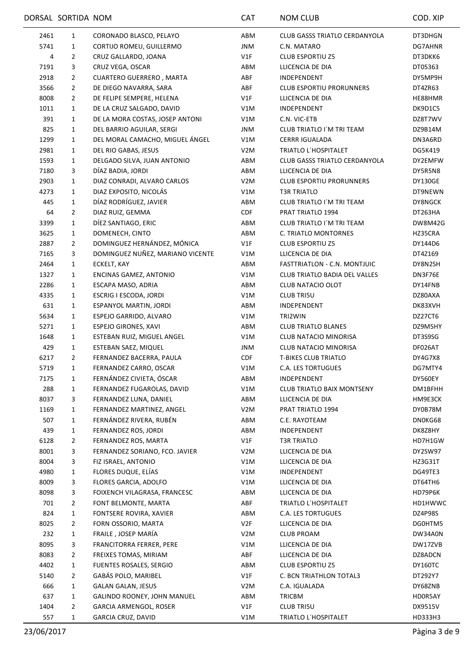|      | DORSAL SORTIDA NOM |                                  | <b>CAT</b>       | <b>NOM CLUB</b>                      | COD. XIP       |
|------|--------------------|----------------------------------|------------------|--------------------------------------|----------------|
| 2461 | 1                  | CORONADO BLASCO, PELAYO          | ABM              | <b>CLUB GASSS TRIATLO CERDANYOLA</b> | DT3DHGN        |
| 5741 | 1                  | CORTIJO ROMEU, GUILLERMO         | JNM              | C.N. MATARO                          | DG7AHNR        |
| 4    | $\overline{2}$     | CRUZ GALLARDO, JOANA             | V1F              | <b>CLUB ESPORTIU Z5</b>              | DT3DKK6        |
| 7191 | 3                  | CRUZ VEGA, OSCAR                 | ABM              | LLICENCIA DE DIA                     | DT05363        |
| 2918 | $\overline{2}$     | <b>CUARTERO GUERRERO, MARTA</b>  | ABF              | INDEPENDENT                          | DY5MP9H        |
| 3566 | $\overline{2}$     | DE DIEGO NAVARRA, SARA           | ABF              | <b>CLUB ESPORTIU PRORUNNERS</b>      | DT4ZR63        |
| 8008 | $\overline{2}$     | DE FELIPE SEMPERE, HELENA        | V1F              | LLICENCIA DE DIA                     | HE88HMR        |
| 1011 | 1                  | DE LA CRUZ SALGADO, DAVID        | V1M              | INDEPENDENT                          | DK9D1C5        |
| 391  | 1                  | DE LA MORA COSTAS, JOSEP ANTONI  | V1M              | C.N. VIC-ETB                         | DZ8T7WV        |
| 825  | 1                  | DEL BARRIO AGUILAR, SERGI        | JNM              | CLUB TRIATLO I'M TRI TEAM            | DZ9B14M        |
| 1299 | $\mathbf{1}$       | DEL MORAL CAMACHO, MIGUEL ÁNGEL  | V1M              | <b>CERRR IGUALADA</b>                | DN3A6RD        |
| 2981 | 1                  | DEL RIO GABAS, JESUS             | V <sub>2</sub> M | TRIATLO L'HOSPITALET                 | DG5K419        |
| 1593 | $\mathbf{1}$       | DELGADO SILVA, JUAN ANTONIO      | ABM              | <b>CLUB GASSS TRIATLO CERDANYOLA</b> | DY2EMFW        |
| 7180 | 3                  | DÍAZ BADIA, JORDI                | ABM              | LLICENCIA DE DIA                     | DY5R5N8        |
| 2903 | 1                  | DIAZ CONRADI, ALVARO CARLOS      | V <sub>2</sub> M | <b>CLUB ESPORTIU PRORUNNERS</b>      | DY130GE        |
| 4273 | $\mathbf{1}$       | DIAZ EXPOSITO, NICOLÁS           | V1M              | <b>T3R TRIATLO</b>                   | DT9NEWN        |
| 445  | 1                  | DÍAZ RODRÍGUEZ, JAVIER           | ABM              | CLUB TRIATLO I'M TRI TEAM            | DY8NGCK        |
| 64   | $\overline{2}$     | DIAZ RUIZ, GEMMA                 | CDF              | PRAT TRIATLO 1994                    | DT263HA        |
| 3399 | 1                  | DÍEZ SANTIAGO, ERIC              | ABM              | CLUB TRIATLO I'M TRI TEAM            | <b>DW8M42G</b> |
| 3625 | $\mathbf{1}$       | DOMENECH, CINTO                  | ABM              | C. TRIATLO MONTORNES                 | HZ35CRA        |
| 2887 | $\overline{2}$     | DOMINGUEZ HERNÁNDEZ, MÓNICA      | V1F              | <b>CLUB ESPORTIU Z5</b>              | DY144D6        |
| 7165 | 3                  | DOMINGUEZ NUÑEZ, MARIANO VICENTE | V1M              | LLICENCIA DE DIA                     | DT4Z169        |
| 2464 | $\mathbf{1}$       | ECKELT, KAY                      | ABM              | FASTTRIATLON - C.N. MONTJUIC         | DY8N2SH        |
| 1327 | $\mathbf{1}$       | ENCINAS GAMEZ, ANTONIO           | V1M              | CLUB TRIATLO BADIA DEL VALLES        | DN3F76E        |
| 2286 | 1                  | ESCAPA MASO, ADRIA               | ABM              | <b>CLUB NATACIO OLOT</b>             | DY14FNB        |
| 4335 | 1                  | ESCRIG I ESCODA, JORDI           | V1M              | <b>CLUB TRI5U</b>                    | DZ80AXA        |
| 631  | $\mathbf{1}$       | ESPANYOL MARTIN, JORDI           | ABM              | INDEPENDENT                          | DK83XVH        |
| 5634 | 1                  | ESPEJO GARRIDO, ALVARO           | V1M              | TRI2WIN                              | DZ27CT6        |
| 5271 | 1                  | <b>ESPEJO GIRONES, XAVI</b>      | ABM              | <b>CLUB TRIATLO BLANES</b>           | DZ9M5HY        |
| 1648 | $\mathbf{1}$       | ESTEBAN RUIZ, MIGUEL ANGEL       | V1M              | CLUB NATACIO MINORISA                | DT3S9SG        |
| 429  | 1                  | ESTEBAN SAEZ, MIQUEL             | JNM              | CLUB NATACIO MINORISA                | DF026AT        |
| 6217 | 2                  | FERNANDEZ BACERRA, PAULA         | <b>CDF</b>       | <b>T-BIKES CLUB TRIATLO</b>          | DY4G7X8        |
| 5719 | 1                  | FERNANDEZ CARRO, OSCAR           | V1M              | C.A. LES TORTUGUES                   | DG7MTY4        |
| 7175 | 1                  | FERNÁNDEZ CIVIETA, ÓSCAR         | ABM              | INDEPENDENT                          | DY560EY        |
| 288  | 1                  | FERNANDEZ FUGAROLAS, DAVID       | V1M              | <b>CLUB TRIATLO BAIX MONTSENY</b>    | DM1BFHH        |
| 8037 | 3                  | FERNANDEZ LUNA, DANIEL           | ABM              | LLICENCIA DE DIA                     | HM9E3CK        |
| 1169 | $\mathbf{1}$       | FERNANDEZ MARTINEZ, ANGEL        | V <sub>2</sub> M | PRAT TRIATLO 1994                    | DY0B78M        |
| 507  | $\mathbf{1}$       | FERNÁNDEZ RIVERA, RUBÉN          | ABM              | C.E. RAYOTEAM                        | DN0KG68        |
| 439  | $\mathbf{1}$       | FERNANDEZ ROS, JORDI             | ABM              | INDEPENDENT                          | DK8Z8HY        |
| 6128 | 2                  | FERNANDEZ ROS, MARTA             | V1F              | <b>T3R TRIATLO</b>                   | HD7H1GW        |
| 8001 | 3                  | FERNANDEZ SORIANO, FCO. JAVIER   | V <sub>2</sub> M | LLICENCIA DE DIA                     | DY2SW97        |
| 8004 | 3                  | FIZ ISRAEL, ANTONIO              | V1M              | LLICENCIA DE DIA                     | HZ3G31T        |
| 4980 | $\mathbf{1}$       | FLORES DUQUE, ELÍAS              | V1M              | INDEPENDENT                          | DG49TE3        |
| 8009 | 3                  | FLORES GARCIA, ADOLFO            | V1M              | LLICENCIA DE DIA                     | DT64TH6        |
| 8098 | 3                  | FOIXENCH VILAGRASA, FRANCESC     | ABM              | LLICENCIA DE DIA                     | HD79P6K        |
| 701  | 2                  | FONT BELMONTE, MARTA             | ABF              | TRIATLO L'HOSPITALET                 | HD1HWWC        |
| 824  | $\mathbf{1}$       | FONTSERE ROVIRA, XAVIER          | ABM              | <b>C.A. LES TORTUGUES</b>            | DZ4P98S        |
| 8025 | 2                  | FORN OSSORIO, MARTA              | V2F              | LLICENCIA DE DIA                     | DG0HTM5        |
| 232  | $\mathbf{1}$       | FRAILE, JOSEP MARÍA              | V2M              | <b>CLUB PROAM</b>                    | DW34A0N        |
| 8095 | 3                  | FRANCITORRA FERRER, PERE         | V1M              | LLICENCIA DE DIA                     | DW17ZVB        |
| 8083 | $\overline{2}$     | FREIXES TOMAS, MIRIAM            | ABF              | LLICENCIA DE DIA                     | DZ8ADCN        |
| 4402 | $\mathbf{1}$       | FUENTES ROSALES, SERGIO          | ABM              | <b>CLUB ESPORTIU Z5</b>              | DY160TC        |
| 5140 | $\overline{2}$     | GABÁS POLO, MARIBEL              | V1F              | C. BCN TRIATHLON TOTAL3              | DT292Y7        |
| 666  | $\mathbf{1}$       | <b>GALAN GALAN, JESUS</b>        | V <sub>2</sub> M | C.A. IGUALADA                        | DY68ZNB        |
| 637  | $\mathbf{1}$       | GALINDO ROONEY, JOHN MANUEL      | ABM              | TRICBM                               | HD0R5AY        |
| 1404 | $\overline{2}$     | <b>GARCIA ARMENGOL, ROSER</b>    | V1F              | <b>CLUB TRI5U</b>                    | DX9515V        |
| 557  | $\mathbf{1}$       | GARCIA CRUZ, DAVID               | V1M              | TRIATLO L'HOSPITALET                 | HD333H3        |
|      |                    |                                  |                  |                                      |                |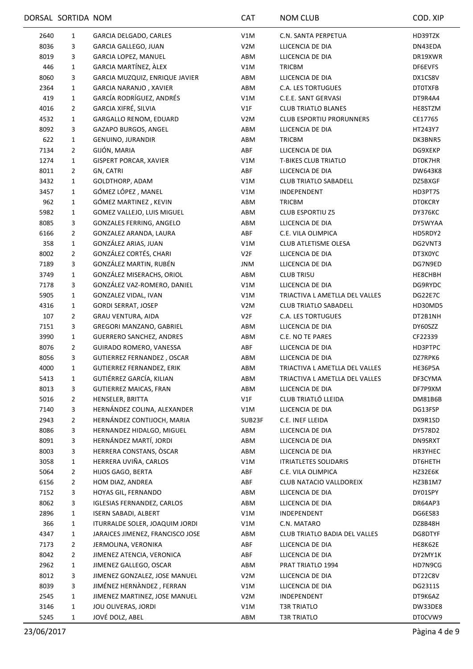|      | DORSAL SORTIDA NOM |                                   | <b>CAT</b>       | <b>NOM CLUB</b>                 | COD. XIP       |
|------|--------------------|-----------------------------------|------------------|---------------------------------|----------------|
| 2640 | 1                  | GARCIA DELGADO, CARLES            | V1M              | C.N. SANTA PERPETUA             | HD39TZK        |
| 8036 | 3                  | <b>GARCIA GALLEGO, JUAN</b>       | V <sub>2</sub> M | LLICENCIA DE DIA                | DN43EDA        |
| 8019 | 3                  | GARCIA LOPEZ, MANUEL              | ABM              | LLICENCIA DE DIA                | DR19XWR        |
| 446  | $\mathbf{1}$       | GARCIA MARTÍNEZ, ÀLEX             | V1M              | <b>TRICBM</b>                   | DF6EVFS        |
| 8060 | 3                  | GARCIA MUZQUIZ, ENRIQUE JAVIER    | ABM              | LLICENCIA DE DIA                | DX1CS8V        |
| 2364 | $\mathbf{1}$       | <b>GARCIA NARANJO, XAVIER</b>     | ABM              | <b>C.A. LES TORTUGUES</b>       | DT0TXFB        |
| 419  | $\mathbf{1}$       | GARCÍA RODRÍGUEZ, ANDRÉS          | V1M              | C.E.E. SANT GERVASI             | DT9R4A4        |
| 4016 | $\overline{2}$     | GARCIA XIFRÉ, SILVIA              | V1F              | <b>CLUB TRIATLO BLANES</b>      | HE8STZM        |
| 4532 | 1                  | GARGALLO RENOM, EDUARD            | V <sub>2</sub> M | <b>CLUB ESPORTIU PRORUNNERS</b> | CE17765        |
| 8092 | 3                  | GAZAPO BURGOS, ANGEL              | ABM              | LLICENCIA DE DIA                | HT243Y7        |
| 622  | 1                  | GENUINO, JURANDIR                 | ABM              | <b>TRICBM</b>                   | DK3BNR5        |
| 7134 | $\overline{2}$     | GIJÓN, MARIA                      | ABF              | LLICENCIA DE DIA                | DG9XEKP        |
| 1274 | $\mathbf{1}$       | <b>GISPERT PORCAR, XAVIER</b>     | V1M              | <b>T-BIKES CLUB TRIATLO</b>     | DT0K7HR        |
| 8011 | $\overline{2}$     | GN, CATRI                         | ABF              | LLICENCIA DE DIA                | <b>DW643K8</b> |
| 3432 | $\mathbf{1}$       | GOLDTHORP, ADAM                   | V1M              | <b>CLUB TRIATLO SABADELL</b>    | DZ5BXGF        |
| 3457 | $\mathbf{1}$       | GÓMEZ LÓPEZ, MANEL                | V1M              | INDEPENDENT                     | HD3PT7S        |
| 962  | 1                  | GÓMEZ MARTINEZ, KEVIN             | ABM              | <b>TRICBM</b>                   | <b>DTOKCRY</b> |
| 5982 | $\mathbf{1}$       | GOMEZ VALLEJO, LUIS MIGUEL        | ABM              | <b>CLUB ESPORTIU Z5</b>         | DY376KC        |
| 8085 | 3                  | <b>GONZALES FERRING, ANGELO</b>   | ABM              | LLICENCIA DE DIA                | DY5WYAA        |
| 6166 | $\overline{2}$     | GONZALEZ ARANDA, LAURA            | ABF              | C.E. VILA OLIMPICA              | HD5RDY2        |
| 358  | $\mathbf{1}$       | GONZÁLEZ ARIAS, JUAN              | V1M              | CLUB ATLETISME OLESA            | DG2VNT3        |
| 8002 | $\overline{2}$     | GONZÁLEZ CORTÉS, CHARI            | V2F              | LLICENCIA DE DIA                | DT3X0YC        |
| 7189 | 3                  | GONZÁLEZ MARTIN, RUBÉN            | JNM              | LLICENCIA DE DIA                | DG7N9ED        |
| 3749 | $\mathbf{1}$       | GONZÁLEZ MISERACHS, ORIOL         | ABM              | <b>CLUB TRI5U</b>               | HE8CHBH        |
| 7178 | 3                  | GONZÁLEZ VAZ-ROMERO, DANIEL       | V1M              | LLICENCIA DE DIA                | DG9RYDC        |
| 5905 | 1                  | GONZALEZ VIDAL, IVAN              | V1M              | TRIACTIVA L AMETLLA DEL VALLES  | DG22E7C        |
| 4316 | $\mathbf{1}$       | <b>GORDI SERRAT, JOSEP</b>        | V <sub>2</sub> M | <b>CLUB TRIATLO SABADELL</b>    | HD30MD5        |
| 107  | 2                  | <b>GRAU VENTURA, AIDA</b>         | V2F              | <b>C.A. LES TORTUGUES</b>       | DT2B1NH        |
| 7151 | 3                  | GREGORI MANZANO, GABRIEL          | ABM              | LLICENCIA DE DIA                | DY60SZZ        |
| 3990 | $\mathbf{1}$       | <b>GUERRERO SANCHEZ, ANDRES</b>   | ABM              | C.E. NO TE PARES                | CF22339        |
| 8076 | 2                  | GUIRADO ROMERO, VANESSA           | ABF              | LLICENCIA DE DIA                | HD3PTPC        |
| 8056 | 3                  | <b>GUTIERREZ FERNANDEZ, OSCAR</b> | ABM              | LLICENCIA DE DIA                | DZ7RPK6        |
| 4000 | 1                  | <b>GUTIERREZ FERNANDEZ, ERIK</b>  | ABM              | TRIACTIVA L AMETLLA DEL VALLES  | HE36P5A        |
| 5413 | $\mathbf{1}$       | GUTIÉRREZ GARCÍA, KILIAN          | ABM              | TRIACTIVA L AMETLLA DEL VALLES  | DF3CYMA        |
| 8013 | 3                  | <b>GUTIERREZ MAICAS, FRAN</b>     | ABM              | LLICENCIA DE DIA                | DF7P9XM        |
| 5016 | 2                  | HENSELER, BRITTA                  | V1F              | CLUB TRIATLÓ LLEIDA             | <b>DM81B6B</b> |
| 7140 | 3                  | HERNÁNDEZ COLINA, ALEXANDER       | V1M              | LLICENCIA DE DIA                | DG13FSP        |
| 2943 | $\overline{2}$     | HERNÁNDEZ CONTIJOCH, MARIA        | SUB23F           | C.E. INEF LLEIDA                | DX9R1SD        |
| 8086 | 3                  | HERNANDEZ HIDALGO, MIGUEL         | ABM              | LLICENCIA DE DIA                | DY578D2        |
| 8091 | 3                  | HERNÁNDEZ MARTÍ, JORDI            | ABM              | LLICENCIA DE DIA                | DN9SRXT        |
| 8003 | 3                  | HERRERA CONSTANS, ÒSCAR           | ABM              | LLICENCIA DE DIA                | HR3YHEC        |
| 3058 | 1                  | HERRERA UVIÑA, CARLOS             | V1M              | <b>ITRIATLETES SOLIDARIS</b>    | DT6HETH        |
| 5064 | 2                  | HIJOS GAGO, BERTA                 | ABF              | C.E. VILA OLIMPICA              | HZ32E6K        |
| 6156 | $\overline{2}$     | HOM DIAZ, ANDREA                  | ABF              | CLUB NATACIO VALLDOREIX         | HZ3B1M7        |
| 7152 | 3                  | HOYAS GIL, FERNANDO               | ABM              | LLICENCIA DE DIA                | DY01SPY        |
| 8062 | 3                  | <b>IGLESIAS FERNANDEZ, CARLOS</b> | ABM              | LLICENCIA DE DIA                | DR64AP3        |
| 2896 | 1                  | <b>ISERN SABADI, ALBERT</b>       | V1M              | INDEPENDENT                     | DG6ES83        |
| 366  | 1                  | ITURRALDE SOLER, JOAQUIM JORDI    | V1M              | C.N. MATARO                     | DZ8B48H        |
| 4347 | $\mathbf{1}$       | JARAICES JIMENEZ, FRANCISCO JOSE  | ABM              | CLUB TRIATLO BADIA DEL VALLES   | DG8DTYF        |
| 7173 | $\overline{2}$     | JERMOLINA, VERONIKA               | ABF              | LLICENCIA DE DIA                | HE8K62E        |
| 8042 | $\overline{2}$     | JIMENEZ ATENCIA, VERONICA         | ABF              | LLICENCIA DE DIA                | DY2MY1K        |
| 2962 | $\mathbf{1}$       | JIMENEZ GALLEGO, OSCAR            | ABM              | PRAT TRIATLO 1994               | HD7N9CG        |
| 8012 | 3                  | JIMENEZ GONZALEZ, JOSE MANUEL     | V <sub>2</sub> M | LLICENCIA DE DIA                | DT22C8V        |
| 8039 | 3                  | JIMÉNEZ HERNÀNDEZ, FERRAN         | V1M              | LLICENCIA DE DIA                | DG2311S        |
| 2545 | $\mathbf{1}$       | JIMENEZ MARTINEZ, JOSE MANUEL     | V <sub>2</sub> M | INDEPENDENT                     | DT9K6AZ        |
| 3146 | 1                  | JOU OLIVERAS, JORDI               | V1M              | <b>T3R TRIATLO</b>              | DW33DE8        |
| 5245 | $\mathbf{1}$       | JOVÉ DOLZ, ABEL                   | ABM              | <b>T3R TRIATLO</b>              | DT0CVW9        |
|      |                    |                                   |                  |                                 |                |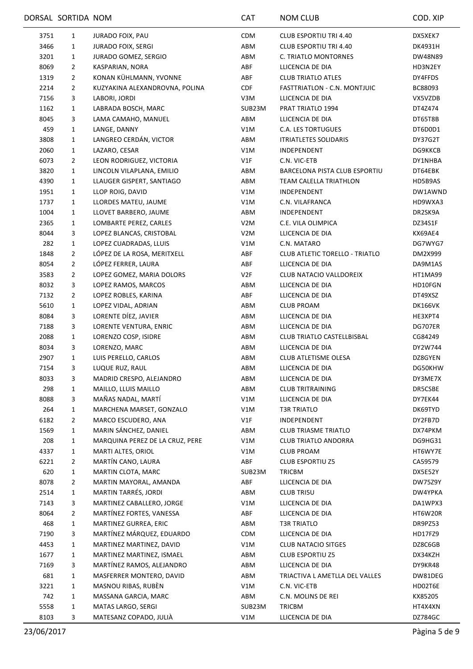|             | DORSAL SORTIDA NOM |                                                  | CAT              | <b>NOM CLUB</b>                      | COD. XIP           |
|-------------|--------------------|--------------------------------------------------|------------------|--------------------------------------|--------------------|
| 3751        | $\mathbf{1}$       | <b>JURADO FOIX, PAU</b>                          | <b>CDM</b>       | <b>CLUB ESPORTIU TRI 4.40</b>        | DX5XEK7            |
| 3466        | $\mathbf{1}$       | <b>JURADO FOIX, SERGI</b>                        | ABM              | CLUB ESPORTIU TRI 4.40               | DK4931H            |
| 3201        | $\mathbf{1}$       | JURADO GOMEZ, SERGIO                             | ABM              | C. TRIATLO MONTORNES                 | DW48N89            |
| 8069        | $\overline{2}$     | KASPARIAN, NORA                                  | ABF              | LLICENCIA DE DIA                     | HD3N2EY            |
| 1319        | $\overline{2}$     | KONAN KÜHLMANN, YVONNE                           | ABF              | <b>CLUB TRIATLO ATLES</b>            | DY4FFDS            |
| 2214        | $\overline{2}$     | KUZYAKINA ALEXANDROVNA, POLINA                   | <b>CDF</b>       | FASTTRIATLON - C.N. MONTJUIC         | BC88093            |
| 7156        | 3                  | LABORI, JORDI                                    | V3M              | LLICENCIA DE DIA                     | VX5VZDB            |
| 1162        | $\mathbf{1}$       | LABRADA BOSCH, MARC                              | SUB23M           | PRAT TRIATLO 1994                    | DT4Z474            |
| 8045        | 3                  | LAMA CAMAHO, MANUEL                              | ABM              | LLICENCIA DE DIA                     | DT65T8B            |
| 459         | $\mathbf{1}$       | LANGE, DANNY                                     | V1M              | <b>C.A. LES TORTUGUES</b>            | DT6D0D1            |
| 3808        | 1                  | LANGREO CERDÁN, VICTOR                           | ABM              | <b>ITRIATLETES SOLIDARIS</b>         | DY37G2T            |
| 2060        | $\mathbf{1}$       | LAZARO, CESAR                                    | V1M              | INDEPENDENT                          | DG9KKCB            |
| 6073        | 2                  | LEON RODRIGUEZ, VICTORIA                         | V1F              | C.N. VIC-ETB                         | DY1NHBA            |
| 3820        | $\mathbf{1}$       | LINCOLN VILAPLANA, EMILIO                        | ABM              | <b>BARCELONA PISTA CLUB ESPORTIU</b> | DT64EBK            |
| 4390        | $\mathbf{1}$       | LLAUGER GISPERT, SANTIAGO                        | ABM              | TEAM CALELLA TRIATHLON               | HD5B9AS            |
| 1951        | $\mathbf{1}$       | LLOP ROIG, DAVID                                 | V1M              | INDEPENDENT                          | DW1AWND            |
| 1737        | 1                  | LLORDES MATEU, JAUME                             | V1M              | C.N. VILAFRANCA                      | HD9WXA3            |
| 1004        | 1                  | LLOVET BARBERO, JAUME                            | ABM              | INDEPENDENT                          | DR2SK9A            |
| 2365        | $\mathbf{1}$       | LOMBARTE PEREZ, CARLES                           | V <sub>2</sub> M | C.E. VILA OLIMPICA                   | DZ34S1F            |
| 8044        | 3                  | LOPEZ BLANCAS, CRISTOBAL                         | V <sub>2</sub> M | LLICENCIA DE DIA                     | KX69AE4            |
| 282         | 1                  | LOPEZ CUADRADAS, LLUIS                           | V1M              | C.N. MATARO                          | DG7WYG7            |
| 1848        | $\overline{2}$     | LÓPEZ DE LA ROSA, MERITXELL                      | ABF              | CLUB ATLETIC TORELLO - TRIATLO       | DM2X999            |
| 8054        | $\overline{2}$     | LÓPEZ FERRER, LAURA                              | ABF              | LLICENCIA DE DIA                     | DA9M1AS            |
| 3583        | $\overline{2}$     | LOPEZ GOMEZ, MARIA DOLORS                        | V2F              | CLUB NATACIO VALLDOREIX              | HT1MA99            |
| 8032        | 3                  | LOPEZ RAMOS, MARCOS                              | ABM              | LLICENCIA DE DIA                     | HD10FGN            |
| 7132        | $\overline{2}$     | LOPEZ ROBLES, KARINA                             | ABF              | LLICENCIA DE DIA                     | DT49XSZ            |
| 5610        | $\mathbf{1}$       | LOPEZ VIDAL, ADRIAN                              | ABM              | <b>CLUB PROAM</b>                    | DK166VK            |
| 8084        | 3                  | LORENTE DÍEZ, JAVIER                             | ABM              | LLICENCIA DE DIA                     | HE3XPT4            |
| 7188        | 3                  | LORENTE VENTURA, ENRIC                           | ABM              | LLICENCIA DE DIA                     | DG707ER            |
| 2088        | $\mathbf{1}$       | LORENZO COSP, ISIDRE                             | ABM              | CLUB TRIATLO CASTELLBISBAL           | CG84249            |
| 8034        | 3                  | LORENZO, MARC                                    | ABM              | LLICENCIA DE DIA                     | DY2W744            |
| 2907        | $\mathbf{1}$       | LUIS PERELLO, CARLOS                             | ABM              | CLUB ATLETISME OLESA                 | DZ8GYEN            |
| 7154        | 3                  | LUQUE RUZ, RAUL                                  | ABM              |                                      |                    |
|             |                    |                                                  |                  | LLICENCIA DE DIA<br>LLICENCIA DE DIA | DG50KHW            |
| 8033<br>298 | 3                  | MADRID CRESPO, ALEJANDRO<br>MAILLO, LLUIS MAILLO | ABM<br>ABM       | <b>CLUB TRITRAINING</b>              | DY3ME7X<br>DR5CSBE |
|             | $\mathbf{1}$       |                                                  |                  |                                      |                    |
| 8088        | 3                  | MAÑAS NADAL, MARTÍ                               | V1M              | LLICENCIA DE DIA                     | DY7EK44            |
| 264         | $\mathbf{1}$       | MARCHENA MARSET, GONZALO                         | V1M              | <b>T3R TRIATLO</b>                   | DK69TYD            |
| 6182        | $\overline{2}$     | MARCO ESCUDERO, ANA                              | V1F              | INDEPENDENT                          | DY2FB7D            |
| 1569        | 1                  | MARIN SÁNCHEZ, DANIEL                            | ABM              | <b>CLUB TRIASME TRIATLO</b>          | DX74PKM            |
| 208         | $\mathbf{1}$       | MARQUINA PEREZ DE LA CRUZ, PERE                  | V1M              | <b>CLUB TRIATLO ANDORRA</b>          | DG9HG31            |
| 4337        | $\mathbf{1}$       | MARTI ALTES, ORIOL                               | V1M              | <b>CLUB PROAM</b>                    | HT6WY7E            |
| 6221        | $\overline{2}$     | MARTÍN CANO, LAURA                               | ABF              | <b>CLUB ESPORTIU Z5</b>              | CA59579            |
| 620         | $\mathbf{1}$       | MARTIN CLOTA, MARC                               | SUB23M           | TRICBM                               | DX5E52Y            |
| 8078        | 2                  | MARTIN MAYORAL, AMANDA                           | ABF              | LLICENCIA DE DIA                     | <b>DW75Z9Y</b>     |
| 2514        | $\mathbf{1}$       | MARTIN TARRÉS, JORDI                             | ABM              | <b>CLUB TRI5U</b>                    | DW4YPKA            |
| 7143        | 3                  | MARTINEZ CABALLERO, JORGE                        | V1M              | LLICENCIA DE DIA                     | DA1WPX3            |
| 8064        | $\overline{2}$     | MARTÍNEZ FORTES, VANESSA                         | ABF              | LLICENCIA DE DIA                     | HT6W20R            |
| 468         | $\mathbf{1}$       | MARTINEZ GURREA, ERIC                            | ABM              | <b>T3R TRIATLO</b>                   | DR9PZ53            |
| 7190        | 3                  | MARTÍNEZ MÁRQUEZ, EDUARDO                        | CDM              | LLICENCIA DE DIA                     | HD17FZ9            |
| 4453        | 1                  | MARTINEZ MARTINEZ, DAVID                         | V1M              | <b>CLUB NATACIO SITGES</b>           | DZ8C6GB            |
| 1677        | $\mathbf{1}$       | MARTINEZ MARTINEZ, ISMAEL                        | ABM              | <b>CLUB ESPORTIU Z5</b>              | DX34KZH            |
| 7169        | 3                  | MARTÍNEZ RAMOS, ALEJANDRO                        | ABM              | LLICENCIA DE DIA                     | DY9KR48            |
| 681         | 1                  | MASFERRER MONTERO, DAVID                         | ABM              | TRIACTIVA L AMETLLA DEL VALLES       | DW81DEG            |
| 3221        | $\mathbf{1}$       | MASNOU RIBAS, RUBÈN                              | V1M              | C.N. VIC-ETB                         | HD02T6E            |
| 742         | $\mathbf{1}$       | MASSANA GARCIA, MARC                             | ABM              | C.N. MOLINS DE REI                   | KX85205            |
| 5558        | 1                  | MATAS LARGO, SERGI                               | SUB23M           | TRICBM                               | HT4X4XN            |
| 8103        | 3                  | MATESANZ COPADO, JULIÀ                           | V1M              | LLICENCIA DE DIA                     | DZ784GC            |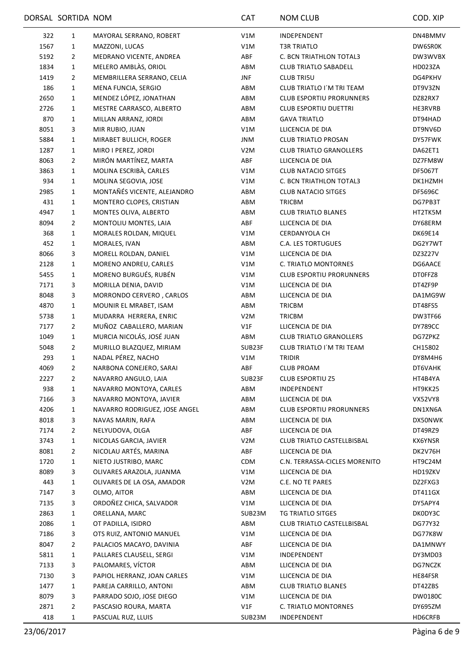|             | DORSAL SORTIDA NOM |                               | CAT              | <b>NOM CLUB</b>                      | COD. XIP       |
|-------------|--------------------|-------------------------------|------------------|--------------------------------------|----------------|
| 322         | $\mathbf{1}$       | MAYORAL SERRANO, ROBERT       | V1M              | INDEPENDENT                          | DN4BMMV        |
| 1567        | $\mathbf{1}$       | MAZZONI, LUCAS                | V1M              | <b>T3R TRIATLO</b>                   | DW6SR0K        |
| 5192        | $\overline{2}$     | MEDRANO VICENTE, ANDREA       | ABF              | C. BCN TRIATHLON TOTAL3              | DW3WVBX        |
| 1834        | $\mathbf{1}$       | MELERO AMBLÀS, ORIOL          | ABM              | <b>CLUB TRIATLO SABADELL</b>         | HD023ZA        |
| 1419        | $\overline{2}$     | MEMBRILLERA SERRANO, CELIA    | <b>JNF</b>       | <b>CLUB TRI5U</b>                    | DG4PKHV        |
| 186         | $\mathbf{1}$       | MENA FUNCIA, SERGIO           | ABM              | CLUB TRIATLO I'M TRI TEAM            | DT9V3ZN        |
| 2650        | $\mathbf{1}$       | MENDEZ LÓPEZ, JONATHAN        | ABM              | <b>CLUB ESPORTIU PRORUNNERS</b>      | DZ82RX7        |
| 2726        | 1                  | MESTRE CARRASCO, ALBERTO      | ABM              | <b>CLUB ESPORTIU DUETTRI</b>         | HE3RVRB        |
| 870         | $\mathbf{1}$       | MILLAN ARRANZ, JORDI          | ABM              | <b>GAVA TRIATLO</b>                  | DT94HAD        |
| 8051        | 3                  | MIR RUBIO, JUAN               | V1M              | LLICENCIA DE DIA                     | DT9NV6D        |
| 5884        | $\mathbf{1}$       | MIRABET BULLICH, ROGER        | JNM              | <b>CLUB TRIATLO PROSAN</b>           | DY57FWK        |
| 1287        | $\mathbf{1}$       | MIRO I PEREZ, JORDI           | V <sub>2</sub> M | <b>CLUB TRIATLO GRANOLLERS</b>       | DA62ET1        |
| 8063        | $\overline{2}$     | MIRÓN MARTÍNEZ, MARTA         | ABF              | LLICENCIA DE DIA                     | DZ7FM8W        |
| 3863        | $\mathbf{1}$       | MOLINA ESCRIBÀ, CARLES        | V1M              | <b>CLUB NATACIO SITGES</b>           | <b>DF5067T</b> |
| 934         | $\mathbf{1}$       | MOLINA SEGOVIA, JOSE          | V1M              | C. BCN TRIATHLON TOTAL3              | DK1HZMH        |
| 2985        | $\mathbf{1}$       | MONTAÑÉS VICENTE, ALEJANDRO   | ABM              | <b>CLUB NATACIO SITGES</b>           | <b>DF5696C</b> |
| 431         | $\mathbf{1}$       | MONTERO CLOPES, CRISTIAN      | ABM              | <b>TRICBM</b>                        | DG7PB3T        |
| 4947        | $\mathbf{1}$       | MONTES OLIVA, ALBERTO         | ABM              | <b>CLUB TRIATLO BLANES</b>           | HT2TK5M        |
| 8094        | 2                  | MONTOLIU MONTES, LAIA         | ABF              | LLICENCIA DE DIA                     | DY68ERM        |
| 368         | $\mathbf{1}$       | MORALES ROLDAN, MIQUEL        | V1M              | <b>CERDANYOLA CH</b>                 | DK69E14        |
| 452         | $\mathbf{1}$       | MORALES, IVAN                 | ABM              | <b>C.A. LES TORTUGUES</b>            | DG2Y7WT        |
| 8066        | 3                  | MORELL ROLDAN, DANIEL         | V1M              | LLICENCIA DE DIA                     | DZ3Z27V        |
| 2128        | 1                  | MORENO ANDREU, CARLES         | V1M              | C. TRIATLO MONTORNES                 | DG6AACE        |
| 5455        | $\mathbf{1}$       | MORENO BURGUÉS, RUBÉN         | V1M              | <b>CLUB ESPORTIU PRORUNNERS</b>      | DT0FFZ8        |
| 7171        | 3                  | MORILLA DENIA, DAVID          | V1M              | LLICENCIA DE DIA                     | DT4ZF9P        |
| 8048        | 3                  | MORRONDO CERVERO, CARLOS      | ABM              | LLICENCIA DE DIA                     | DA1MG9W        |
| 4870        | $\mathbf{1}$       | MOUNIR EL MRABET, ISAM        | ABM              | <b>TRICBM</b>                        | DT48FS5        |
| 5738        | 1                  | MUDARRA HERRERA, ENRIC        | V2M              | <b>TRICBM</b>                        | DW3TF66        |
| 7177        | 2                  | MUÑOZ CABALLERO, MARIAN       | V1F              | LLICENCIA DE DIA                     | <b>DY789CC</b> |
| 1049        | $\mathbf{1}$       | MURCIA NICOLÁS, JOSÉ JUAN     | ABM              | <b>CLUB TRIATLO GRANOLLERS</b>       | DG7ZPKZ        |
| 5048        | $\overline{2}$     | MURILLO BLAZQUEZ, MIRIAM      | SUB23F           | CLUB TRIATLO I'M TRI TEAM            | CH15802        |
| 293         | $\mathbf{1}$       | NADAL PÉREZ, NACHO            | V1M              | TRIDIR                               | DY8M4H6        |
| 4069        | 2                  | NARBONA CONEJERO, SARAI       | ABF              | <b>CLUB PROAM</b>                    | DT6VAHK        |
| 2227        | $\overline{2}$     | NAVARRO ANGULO, LAIA          | SUB23F           | <b>CLUB ESPORTIU Z5</b>              | HT4B4YA        |
| 938         | 1                  | NAVARRO MONTOYA, CARLES       | ABM              | INDEPENDENT                          | HT9KK25        |
| 7166        | 3                  | NAVARRO MONTOYA, JAVIER       | ABM              | LLICENCIA DE DIA                     | VX52VY8        |
| 4206        | $\mathbf{1}$       | NAVARRO RODRIGUEZ, JOSE ANGEL | ABM              | <b>CLUB ESPORTIU PRORUNNERS</b>      | DN1XN6A        |
| 8018        | 3                  | NAVAS MARIN, RAFA             | ABM              | LLICENCIA DE DIA                     | DX50NWK        |
| 7174        | $\overline{2}$     | NELYUDOVA, OLGA               | ABF              | LLICENCIA DE DIA                     | DT49RZ9        |
| 3743        | $\mathbf{1}$       | NICOLAS GARCIA, JAVIER        | V <sub>2</sub> M | CLUB TRIATLO CASTELLBISBAL           | KX6YNSR        |
| 8081        | 2                  | NICOLAU ARTÉS, MARINA         | ABF              | LLICENCIA DE DIA                     | DK2V76H        |
| 1720        | $\mathbf{1}$       | NIETO JUSTRIBO, MARC          | CDM              | C.N. TERRASSA-CICLES MORENITO        | HT9C24M        |
|             |                    | OLIVARES ARAZOLA, JUANMA      | V1M              |                                      |                |
| 8089<br>443 | 3                  | OLIVARES DE LA OSA, AMADOR    | V <sub>2</sub> M | LLICENCIA DE DIA<br>C.E. NO TE PARES | HD19ZKV        |
|             | $\mathbf{1}$       |                               |                  |                                      | DZ2FXG3        |
| 7147        | 3                  | OLMO, AITOR                   | ABM              | LLICENCIA DE DIA                     | DT411GX        |
| 7135        | 3                  | ORDOÑEZ CHICA, SALVADOR       | V1M              | LLICENCIA DE DIA                     | DY5APY4        |
| 2863        | $\mathbf{1}$       | ORELLANA, MARC                | SUB23M           | TG TRIATLO SITGES                    | DK0DY3C        |
| 2086        | 1                  | OT PADILLA, ISIDRO            | ABM              | CLUB TRIATLO CASTELLBISBAL           | DG77Y32        |
| 7186        | 3                  | OTS RUIZ, ANTONIO MANUEL      | V1M              | LLICENCIA DE DIA                     | DG77K8W        |
| 8047        | $\overline{2}$     | PALACIOS MACAYO, DAVINIA      | ABF              | LLICENCIA DE DIA                     | DA1MNWY        |
| 5811        | 1                  | PALLARES CLAUSELL, SERGI      | V1M              | INDEPENDENT                          | DY3MD03        |
| 7133        | 3                  | PALOMARES, VÍCTOR             | ABM              | LLICENCIA DE DIA                     | DG7NCZK        |
| 7130        | 3                  | PAPIOL HERRANZ, JOAN CARLES   | V1M              | LLICENCIA DE DIA                     | HE84FSR        |
| 1477        | $\mathbf{1}$       | PAREJA CARRILLO, ANTONI       | ABM              | <b>CLUB TRIATLO BLANES</b>           | DT42ZBS        |
| 8079        | 3                  | PARRADO SOJO, JOSE DIEGO      | V1M              | LLICENCIA DE DIA                     | DW0180C        |
| 2871        | $\overline{2}$     | PASCASIO ROURA, MARTA         | V1F              | C. TRIATLO MONTORNES                 | DY695ZM        |
| 418         | $\mathbf{1}$       | PASCUAL RUZ, LLUIS            | SUB23M           | INDEPENDENT                          | HD6CRFB        |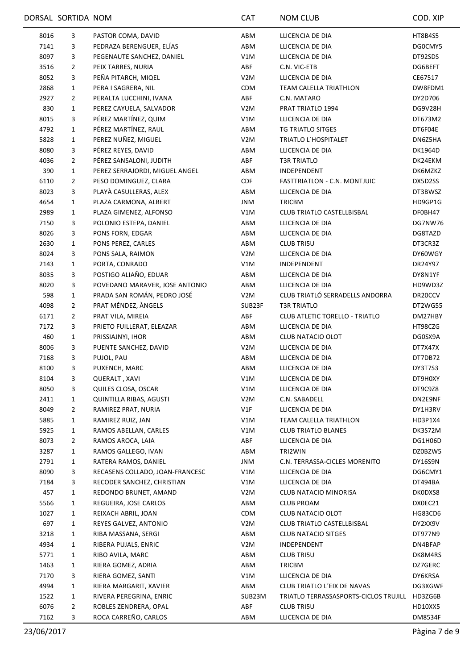|      | DORSAL SORTIDA NOM |                                 | <b>CAT</b>       | <b>NOM CLUB</b>                       | COD. XIP       |
|------|--------------------|---------------------------------|------------------|---------------------------------------|----------------|
| 8016 | 3                  | PASTOR COMA, DAVID              | ABM              | LLICENCIA DE DIA                      | <b>HT8B4S5</b> |
| 7141 | 3                  | PEDRAZA BERENGUER, ELÍAS        | ABM              | LLICENCIA DE DIA                      | DG0CMY5        |
| 8097 | 3                  | PEGENAUTE SANCHEZ, DANIEL       | V1M              | LLICENCIA DE DIA                      | DT92SDS        |
| 3516 | 2                  | PEIX TARRES, NURIA              | ABF              | C.N. VIC-ETB                          | DG6BEFT        |
| 8052 | 3                  | PEÑA PITARCH, MIQEL             | V <sub>2</sub> M | LLICENCIA DE DIA                      | CE67517        |
| 2868 | $\mathbf{1}$       | PERA I SAGRERA, NIL             | <b>CDM</b>       | TEAM CALELLA TRIATHLON                | DW8FDM1        |
| 2927 | $\overline{2}$     | PERALTA LUCCHINI, IVANA         | ABF              | C.N. MATARO                           | DY2D706        |
| 830  | $\mathbf{1}$       | PEREZ CAYUELA, SALVADOR         | V <sub>2</sub> M | PRAT TRIATLO 1994                     | DG9V28H        |
| 8015 | 3                  | PÉREZ MARTÍNEZ, QUIM            | V1M              | LLICENCIA DE DIA                      | DT673M2        |
| 4792 | $\mathbf{1}$       | PÉREZ MARTÍNEZ, RAUL            | ABM              | TG TRIATLO SITGES                     | DT6F04E        |
| 5828 | 1                  | PEREZ NUÑEZ, MIGUEL             | V2M              | TRIATLO L'HOSPITALET                  | DN6Z5HA        |
| 8080 | 3                  | PÉREZ REYES, DAVID              | ABM              | LLICENCIA DE DIA                      | DK1964D        |
| 4036 | $\overline{2}$     | PÉREZ SANSALONI, JUDITH         | ABF              | <b>T3R TRIATLO</b>                    | DK24EKM        |
| 390  | $\mathbf{1}$       | PEREZ SERRAJORDI, MIGUEL ANGEL  | ABM              | INDEPENDENT                           | DK6MZKZ        |
| 6110 | $\overline{2}$     | PESO DOMINGUEZ, CLARA           | <b>CDF</b>       | FASTTRIATLON - C.N. MONTJUIC          | DX5D2SS        |
| 8023 | 3                  | PLAYA CASULLERAS, ALEX          | ABM              | LLICENCIA DE DIA                      | DT3BWSZ        |
| 4654 | $\mathbf{1}$       | PLAZA CARMONA, ALBERT           | JNM              | <b>TRICBM</b>                         | HD9GP1G        |
| 2989 | $\mathbf{1}$       | PLAZA GIMENEZ, ALFONSO          | V1M              | CLUB TRIATLO CASTELLBISBAL            | DF0BH47        |
| 7150 | 3                  | POLONIO ESTEPA, DANIEL          | ABM              | LLICENCIA DE DIA                      | DG7NW76        |
| 8026 | 3                  | PONS FORN, EDGAR                | ABM              | LLICENCIA DE DIA                      | DG8TAZD        |
| 2630 | $\mathbf{1}$       | PONS PEREZ, CARLES              | ABM              | <b>CLUB TRI5U</b>                     | DT3CR3Z        |
| 8024 | 3                  | PONS SALA, RAIMON               | V <sub>2</sub> M | LLICENCIA DE DIA                      | DY60WGY        |
| 2143 | $\mathbf{1}$       | PORTA, CONRADO                  | V1M              | INDEPENDENT                           | DR24Y97        |
| 8035 | 3                  | POSTIGO ALIAÑO, EDUAR           | ABM              | LLICENCIA DE DIA                      | DY8N1YF        |
| 8020 | 3                  | POVEDANO MARAVER, JOSE ANTONIO  | ABM              | LLICENCIA DE DIA                      | HD9WD3Z        |
| 598  | 1                  | PRADA SAN ROMÁN, PEDRO JOSÉ     | V <sub>2</sub> M | CLUB TRIATLÓ SERRADELLS ANDORRA       | DR20CCV        |
| 4098 | $\overline{2}$     | PRAT MÉNDEZ, ÀNGELS             | SUB23F           | <b>T3R TRIATLO</b>                    | DT2WG55        |
| 6171 | $\overline{2}$     | PRAT VILA, MIREIA               | ABF              | <b>CLUB ATLETIC TORELLO - TRIATLO</b> | DM27HBY        |
| 7172 | 3                  | PRIETO FUILLERAT, ELEAZAR       | ABM              | LLICENCIA DE DIA                      | HT98CZG        |
| 460  | $\mathbf{1}$       | PRISSIAJNYI, IHOR               | ABM              | CLUB NATACIO OLOT                     | DG0SX9A        |
| 8006 |                    | PUENTE SANCHEZ, DAVID           | V <sub>2</sub> M | LLICENCIA DE DIA                      |                |
| 7168 | 3                  | PUJOL, PAU                      | ABM              | LLICENCIA DE DIA                      | DT7X47X        |
|      | 3<br>3             |                                 |                  |                                       | DT7DB72        |
| 8100 |                    | PUXENCH, MARC                   | ABM              | LLICENCIA DE DIA                      | DY3T7S3        |
| 8104 | 3                  | <b>QUERALT, XAVI</b>            | V1M              | LLICENCIA DE DIA                      | DT9H0XY        |
| 8050 | 3                  | QUILES CLOSA, OSCAR             | V1M              | LLICENCIA DE DIA                      | DT9C9Z8        |
| 2411 | 1                  | <b>QUINTILLA RIBAS, AGUSTI</b>  | V <sub>2</sub> M | C.N. SABADELL                         | DN2E9NF        |
| 8049 | 2                  | RAMIREZ PRAT, NURIA             | V1F              | LLICENCIA DE DIA                      | DY1H3RV        |
| 5885 | 1                  | RAMIREZ RUIZ, JAN               | V1M              | TEAM CALELLA TRIATHLON                | HD3P1X4        |
| 5925 | 1                  | RAMOS ABELLAN, CARLES           | V1M              | <b>CLUB TRIATLO BLANES</b>            | DK3S72M        |
| 8073 | $\overline{2}$     | RAMOS AROCA, LAIA               | ABF              | LLICENCIA DE DIA                      | DG1H06D        |
| 3287 | 1                  | RAMOS GALLEGO, IVAN             | ABM              | TRI2WIN                               | DZ0BZW5        |
| 2791 | 1                  | RATERA RAMOS, DANIEL            | JNM              | C.N. TERRASSA-CICLES MORENITO         | DY16S9N        |
| 8090 | 3                  | RECASENS COLLADO, JOAN-FRANCESC | V1M              | LLICENCIA DE DIA                      | DG6CMY1        |
| 7184 | 3                  | RECODER SANCHEZ, CHRISTIAN      | V1M              | LLICENCIA DE DIA                      | DT494BA        |
| 457  | 1                  | REDONDO BRUNET, AMAND           | V <sub>2</sub> M | CLUB NATACIO MINORISA                 | DK0DXS8        |
| 5566 | 1                  | REGUEIRA, JOSE CARLOS           | ABM              | <b>CLUB PROAM</b>                     | DX0EC21        |
| 1027 | 1                  | REIXACH ABRIL, JOAN             | <b>CDM</b>       | CLUB NATACIO OLOT                     | HG83CD6        |
| 697  | $\mathbf{1}$       | REYES GALVEZ, ANTONIO           | V <sub>2</sub> M | CLUB TRIATLO CASTELLBISBAL            | DY2XX9V        |
| 3218 | $\mathbf{1}$       | RIBA MASSANA, SERGI             | ABM              | <b>CLUB NATACIO SITGES</b>            | DT977N9        |
| 4934 | $\mathbf{1}$       | RIBERA PUJALS, ENRIC            | V <sub>2</sub> M | INDEPENDENT                           | DN4BFAP        |
| 5771 | $\mathbf{1}$       | RIBO AVILA, MARC                | ABM              | <b>CLUB TRI5U</b>                     | DK8M4RS        |
| 1463 | 1                  | RIERA GOMEZ, ADRIA              | ABM              | <b>TRICBM</b>                         | DZ7GERC        |
| 7170 | 3                  | RIERA GOMEZ, SANTI              | V1M              | LLICENCIA DE DIA                      | DY6KRSA        |
| 4994 | $\mathbf{1}$       | RIERA MARGARIT, XAVIER          | ABM              | CLUB TRIATLO L'EIX DE NAVAS           | DG3XGWF        |
| 1522 | $\mathbf{1}$       | RIVERA PEREGRINA, ENRIC         | SUB23M           | TRIATLO TERRASSASPORTS-CICLOS TRUJILL | HD3ZG6B        |
| 6076 | $\overline{2}$     | ROBLES ZENDRERA, OPAL           | ABF              | <b>CLUB TRI5U</b>                     | HD10XX5        |
| 7162 | 3                  | ROCA CARREÑO, CARLOS            | ABM              | LLICENCIA DE DIA                      | DM8534F        |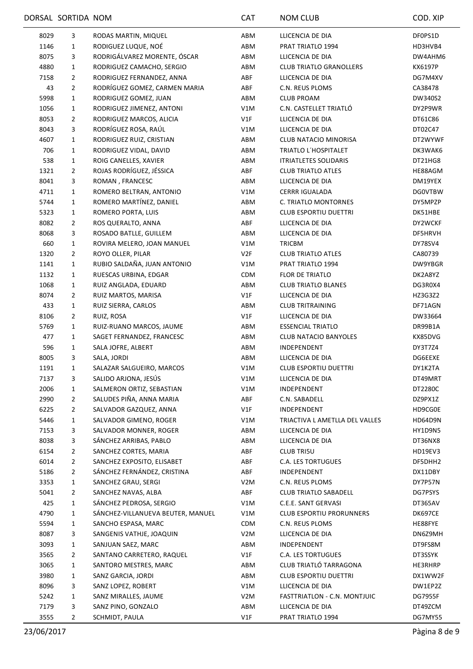|      | DORSAL SORTIDA NOM |                                   | <b>CAT</b>       | NOM CLUB                        | COD. XIP       |
|------|--------------------|-----------------------------------|------------------|---------------------------------|----------------|
| 8029 | 3                  | RODAS MARTIN, MIQUEL              | ABM              | LLICENCIA DE DIA                | DF0PS1D        |
| 1146 | $\mathbf{1}$       | RODIGUEZ LUQUE, NOÉ               | ABM              | PRAT TRIATLO 1994               | HD3HVB4        |
| 8075 | 3                  | RODRIGÁLVAREZ MORENTE, ÓSCAR      | ABM              | LLICENCIA DE DIA                | DW4AHM6        |
| 4880 | $\mathbf{1}$       | RODRIGUEZ CAMACHO, SERGIO         | ABM              | <b>CLUB TRIATLO GRANOLLERS</b>  | KX6197P        |
| 7158 | $\overline{2}$     | RODRIGUEZ FERNANDEZ, ANNA         | ABF              | LLICENCIA DE DIA                | DG7M4XV        |
| 43   | $\overline{2}$     | RODRÍGUEZ GOMEZ, CARMEN MARIA     | ABF              | C.N. REUS PLOMS                 | CA38478        |
| 5998 | $\mathbf{1}$       | RODRIGUEZ GOMEZ, JUAN             | ABM              | <b>CLUB PROAM</b>               | DW340S2        |
| 1056 | 1                  | RODRIGUEZ JIMENEZ, ANTONI         | V1M              | C.N. CASTELLET TRIATLÓ          | DY2P9WR        |
| 8053 | $\overline{2}$     | RODRIGUEZ MARCOS, ALICIA          | V1F              | LLICENCIA DE DIA                | DT61C86        |
| 8043 | 3                  | RODRÍGUEZ ROSA, RAÚL              | V1M              | LLICENCIA DE DIA                | DT02C47        |
| 4607 | $\mathbf{1}$       | RODRIGUEZ RUIZ, CRISTIAN          | ABM              | CLUB NATACIO MINORISA           | DT2WYWF        |
| 706  | 1                  | RODRIGUEZ VIDAL, DAVID            | ABM              | TRIATLO L'HOSPITALET            | DK3WAK6        |
| 538  | $\mathbf{1}$       | ROIG CANELLES, XAVIER             | ABM              | <b>ITRIATLETES SOLIDARIS</b>    | DT21HG8        |
| 1321 | $\overline{2}$     | ROJAS RODRÍGUEZ, JÉSSICA          | ABF              | <b>CLUB TRIATLO ATLES</b>       | HE88AGM        |
| 8041 | 3                  | ROMAN, FRANCESC                   | ABM              | LLICENCIA DE DIA                | DM19YEX        |
| 4711 | $\mathbf{1}$       | ROMERO BELTRAN, ANTONIO           | V1M              | <b>CERRR IGUALADA</b>           | <b>DGOVTBW</b> |
| 5744 | $\mathbf{1}$       | ROMERO MARTÍNEZ, DANIEL           | ABM              | C. TRIATLO MONTORNES            | DY5MPZP        |
| 5323 | $\mathbf{1}$       | ROMERO PORTA, LUIS                | ABM              | <b>CLUB ESPORTIU DUETTRI</b>    | DK51HBE        |
| 8082 | $\overline{2}$     | ROS QUERALTO, ANNA                | ABF              | LLICENCIA DE DIA                | DY2WCKF        |
| 8068 | 3                  | ROSADO BATLLE, GUILLEM            | ABM              | LLICENCIA DE DIA                | DF5HRVH        |
| 660  | $\mathbf{1}$       | ROVIRA MELERO, JOAN MANUEL        | V1M              | <b>TRICBM</b>                   | DY78SV4        |
| 1320 | $\overline{2}$     | ROYO OLLER, PILAR                 | V2F              | <b>CLUB TRIATLO ATLES</b>       | CA80739        |
| 1141 | $\mathbf{1}$       | RUBIO SALDAÑA, JUAN ANTONIO       | V1M              | PRAT TRIATLO 1994               | DW9YBGR        |
| 1132 | $\mathbf{1}$       | RUESCAS URBINA, EDGAR             | <b>CDM</b>       | <b>FLOR DE TRIATLO</b>          | DK2A8YZ        |
| 1068 | $\mathbf{1}$       | RUIZ ANGLADA, EDUARD              | ABM              | <b>CLUB TRIATLO BLANES</b>      | DG3R0X4        |
| 8074 | $\overline{2}$     | RUIZ MARTOS, MARISA               | V1F              | LLICENCIA DE DIA                | HZ3G3Z2        |
| 433  | $\mathbf{1}$       | RUIZ SIERRA, CARLOS               | ABM              | <b>CLUB TRITRAINING</b>         | DF71AGN        |
| 8106 | $\overline{2}$     | RUIZ, ROSA                        | V1F              | LLICENCIA DE DIA                | DW33664        |
| 5769 | 1                  | RUIZ-RUANO MARCOS, JAUME          | ABM              | <b>ESSENCIAL TRIATLO</b>        | DR99B1A        |
| 477  | $\mathbf{1}$       | SAGET FERNANDEZ, FRANCESC         | ABM              | <b>CLUB NATACIO BANYOLES</b>    | KX85DVG        |
| 596  | $\mathbf{1}$       | SALA JOFRE, ALBERT                | ABM              | INDEPENDENT                     | DY3T7Z4        |
| 8005 | 3                  | SALA, JORDI                       | ABM              | LLICENCIA DE DIA                | DG6EEXE        |
| 1191 | 1                  | SALAZAR SALGUEIRO, MARCOS         | V1M              | <b>CLUB ESPORTIU DUETTRI</b>    | DY1K2TA        |
| 7137 | 3                  | SALIDO ARJONA, JESÚS              | V1M              | LLICENCIA DE DIA                | DT49MRT        |
| 2006 | 1                  | SALMERON ORTIZ, SEBASTIAN         | V1M              | INDEPENDENT                     | DT2280C        |
| 2990 | 2                  | SALUDES PIÑA, ANNA MARIA          | ABF              | C.N. SABADELL                   | DZ9PX1Z        |
| 6225 | 2                  | SALVADOR GAZQUEZ, ANNA            | V1F              | INDEPENDENT                     | HD9CG0E        |
| 5446 | $\mathbf{1}$       | SALVADOR GIMENO, ROGER            | V1M              | TRIACTIVA L AMETLLA DEL VALLES  | HD64D9N        |
| 7153 | 3                  | SALVADOR MONNER, ROGER            | ABM              | LLICENCIA DE DIA                | HY1D9N5        |
| 8038 | 3                  | SÁNCHEZ ARRIBAS, PABLO            | ABM              | LLICENCIA DE DIA                | DT36NX8        |
| 6154 | 2                  | SANCHEZ CORTES, MARIA             | ABF              | <b>CLUB TRI5U</b>               | HD19EV3        |
| 6014 | 2                  | SANCHEZ EXPOSITO, ELISABET        | ABF              | <b>C.A. LES TORTUGUES</b>       | DF5DHH2        |
| 5186 | $\overline{2}$     | SÁNCHEZ FERNÁNDEZ, CRISTINA       | ABF              | INDEPENDENT                     | DX11DBY        |
|      |                    | SANCHEZ GRAU, SERGI               |                  |                                 |                |
| 3353 | $\mathbf{1}$       |                                   | V <sub>2</sub> M | C.N. REUS PLOMS                 | DY7P57N        |
| 5041 | $\overline{2}$     | SANCHEZ NAVAS, ALBA               | ABF              | <b>CLUB TRIATLO SABADELL</b>    | DG7PSYS        |
| 425  | $\mathbf{1}$       | SÁNCHEZ PEDROSA, SERGIO           | V1M              | C.E.E. SANT GERVASI             | DT365AV        |
| 4790 | 1                  | SÁNCHEZ-VILLANUEVA BEUTER, MANUEL | V1M              | <b>CLUB ESPORTIU PRORUNNERS</b> | DK697CE        |
| 5594 | $\mathbf{1}$       | SANCHO ESPASA, MARC               | <b>CDM</b>       | C.N. REUS PLOMS                 | HE88FYE        |
| 8087 | 3                  | SANGENIS VATHJE, JOAQUIN          | V <sub>2</sub> M | LLICENCIA DE DIA                | DN6Z9MH        |
| 3093 | $\mathbf{1}$       | SANJUAN SAEZ, MARC                | ABM              | INDEPENDENT                     | DT9FS8M        |
| 3565 | 2                  | SANTANO CARRETERO, RAQUEL         | V1F              | <b>C.A. LES TORTUGUES</b>       | DT3SSYK        |
| 3065 | 1                  | SANTORO MESTRES, MARC             | ABM              | CLUB TRIATLÓ TARRAGONA          | HE3RHRP        |
| 3980 | 1                  | SANZ GARCIA, JORDI                | ABM              | <b>CLUB ESPORTIU DUETTRI</b>    | DX1WW2F        |
| 8096 | 3                  | SANZ LOPEZ, ROBERT                | V1M              | LLICENCIA DE DIA                | DW1EP2Z        |
| 5242 | $\mathbf{1}$       | SANZ MIRALLES, JAUME              | V <sub>2</sub> M | FASTTRIATLON - C.N. MONTJUIC    | DG7955F        |
| 7179 | 3                  | SANZ PINO, GONZALO                | ABM              | LLICENCIA DE DIA                | DT49ZCM        |
| 3555 | $\overline{2}$     | SCHMIDT, PAULA                    | V1F              | PRAT TRIATLO 1994               | DG7MY55        |